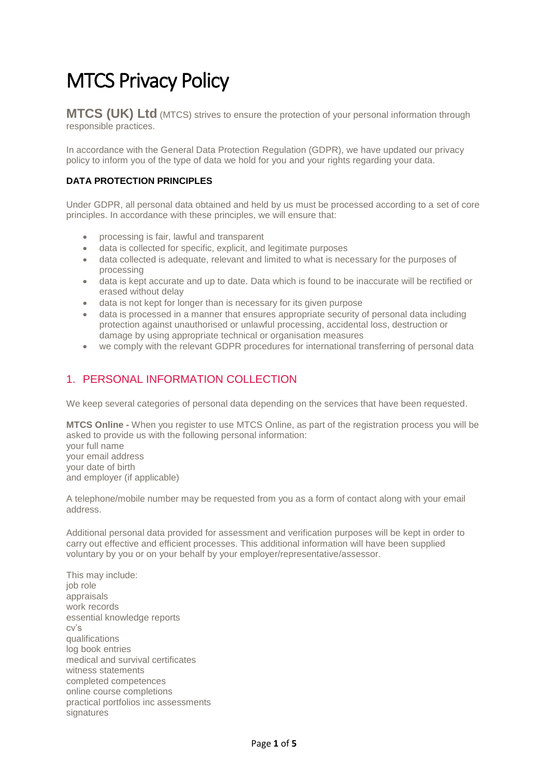# MTCS Privacy Policy

**MTCS (UK) Ltd** (MTCS) strives to ensure the protection of your personal information through responsible practices.

In accordance with the General Data Protection Regulation (GDPR), we have updated our privacy policy to inform you of the type of data we hold for you and your rights regarding your data.

#### **DATA PROTECTION PRINCIPLES**

Under GDPR, all personal data obtained and held by us must be processed according to a set of core principles. In accordance with these principles, we will ensure that:

- processing is fair, lawful and transparent
- data is collected for specific, explicit, and legitimate purposes
- data collected is adequate, relevant and limited to what is necessary for the purposes of processing
- data is kept accurate and up to date. Data which is found to be inaccurate will be rectified or erased without delay
- data is not kept for longer than is necessary for its given purpose
- data is processed in a manner that ensures appropriate security of personal data including protection against unauthorised or unlawful processing, accidental loss, destruction or damage by using appropriate technical or organisation measures
- we comply with the relevant GDPR procedures for international transferring of personal data

# 1. PERSONAL INFORMATION COLLECTION

We keep several categories of personal data depending on the services that have been requested.

**MTCS Online -** When you register to use MTCS Online, as part of the registration process you will be asked to provide us with the following personal information: your full name your email address your date of birth and employer (if applicable)

A telephone/mobile number may be requested from you as a form of contact along with your email address.

Additional personal data provided for assessment and verification purposes will be kept in order to carry out effective and efficient processes. This additional information will have been supplied voluntary by you or on your behalf by your employer/representative/assessor.

This may include: job role appraisals work records essential knowledge reports cv's qualifications log book entries medical and survival certificates witness statements completed competences online course completions practical portfolios inc assessments signatures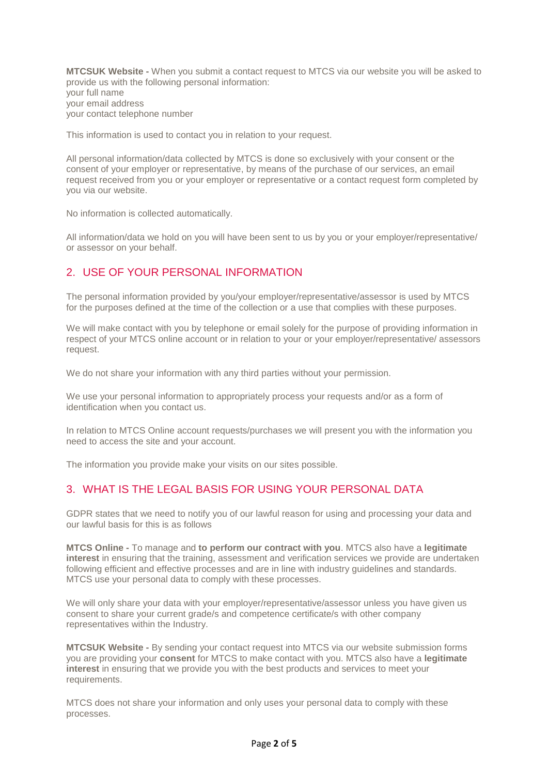**MTCSUK Website -** When you submit a contact request to MTCS via our website you will be asked to provide us with the following personal information: your full name your email address your contact telephone number

This information is used to contact you in relation to your request.

All personal information/data collected by MTCS is done so exclusively with your consent or the consent of your employer or representative, by means of the purchase of our services, an email request received from you or your employer or representative or a contact request form completed by you via our website.

No information is collected automatically.

All information/data we hold on you will have been sent to us by you or your employer/representative/ or assessor on your behalf.

## 2. USE OF YOUR PERSONAL INFORMATION

The personal information provided by you/your employer/representative/assessor is used by MTCS for the purposes defined at the time of the collection or a use that complies with these purposes.

We will make contact with you by telephone or email solely for the purpose of providing information in respect of your MTCS online account or in relation to your or your employer/representative/ assessors request.

We do not share your information with any third parties without your permission.

We use your personal information to appropriately process your requests and/or as a form of identification when you contact us.

In relation to MTCS Online account requests/purchases we will present you with the information you need to access the site and your account.

The information you provide make your visits on our sites possible.

## 3. WHAT IS THE LEGAL BASIS FOR USING YOUR PERSONAL DATA

GDPR states that we need to notify you of our lawful reason for using and processing your data and our lawful basis for this is as follows

**MTCS Online -** To manage and **to perform our contract with you**. MTCS also have a **legitimate interest** in ensuring that the training, assessment and verification services we provide are undertaken following efficient and effective processes and are in line with industry guidelines and standards. MTCS use your personal data to comply with these processes.

We will only share your data with your employer/representative/assessor unless you have given us consent to share your current grade/s and competence certificate/s with other company representatives within the Industry.

**MTCSUK Website -** By sending your contact request into MTCS via our website submission forms you are providing your **consent** for MTCS to make contact with you. MTCS also have a **legitimate interest** in ensuring that we provide you with the best products and services to meet your requirements.

MTCS does not share your information and only uses your personal data to comply with these processes.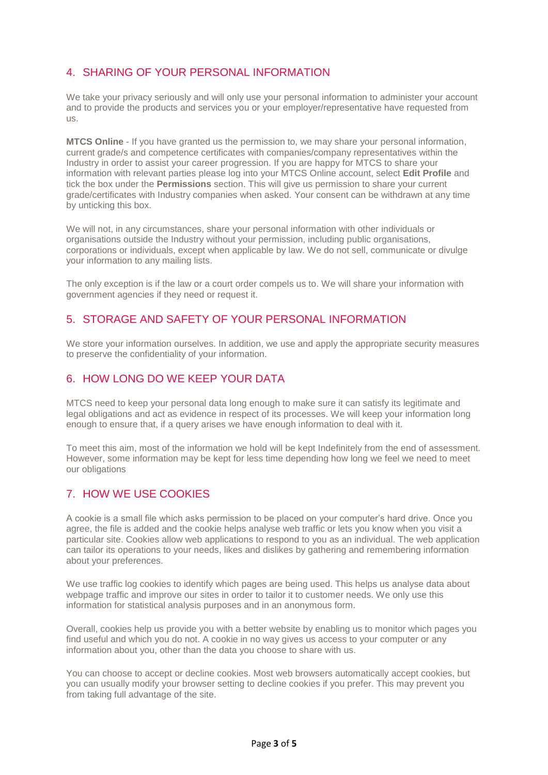# 4. SHARING OF YOUR PERSONAL INFORMATION

We take your privacy seriously and will only use your personal information to administer your account and to provide the products and services you or your employer/representative have requested from us.

**MTCS Online** - If you have granted us the permission to, we may share your personal information, current grade/s and competence certificates with companies/company representatives within the Industry in order to assist your career progression. If you are happy for MTCS to share your information with relevant parties please log into your MTCS Online account, select **Edit Profile** and tick the box under the **Permissions** section. This will give us permission to share your current grade/certificates with Industry companies when asked. Your consent can be withdrawn at any time by unticking this box.

We will not, in any circumstances, share your personal information with other individuals or organisations outside the Industry without your permission, including public organisations, corporations or individuals, except when applicable by law. We do not sell, communicate or divulge your information to any mailing lists.

The only exception is if the law or a court order compels us to. We will share your information with government agencies if they need or request it.

#### 5. STORAGE AND SAFETY OF YOUR PERSONAL INFORMATION

We store your information ourselves. In addition, we use and apply the appropriate security measures to preserve the confidentiality of your information.

## 6. HOW LONG DO WE KEEP YOUR DATA

MTCS need to keep your personal data long enough to make sure it can satisfy its legitimate and legal obligations and act as evidence in respect of its processes. We will keep your information long enough to ensure that, if a query arises we have enough information to deal with it.

To meet this aim, most of the information we hold will be kept Indefinitely from the end of assessment. However, some information may be kept for less time depending how long we feel we need to meet our obligations

## 7. HOW WE USE COOKIES

A cookie is a small file which asks permission to be placed on your computer's hard drive. Once you agree, the file is added and the cookie helps analyse web traffic or lets you know when you visit a particular site. Cookies allow web applications to respond to you as an individual. The web application can tailor its operations to your needs, likes and dislikes by gathering and remembering information about your preferences.

We use traffic log cookies to identify which pages are being used. This helps us analyse data about webpage traffic and improve our sites in order to tailor it to customer needs. We only use this information for statistical analysis purposes and in an anonymous form.

Overall, cookies help us provide you with a better website by enabling us to monitor which pages you find useful and which you do not. A cookie in no way gives us access to your computer or any information about you, other than the data you choose to share with us.

You can choose to accept or decline cookies. Most web browsers automatically accept cookies, but you can usually modify your browser setting to decline cookies if you prefer. This may prevent you from taking full advantage of the site.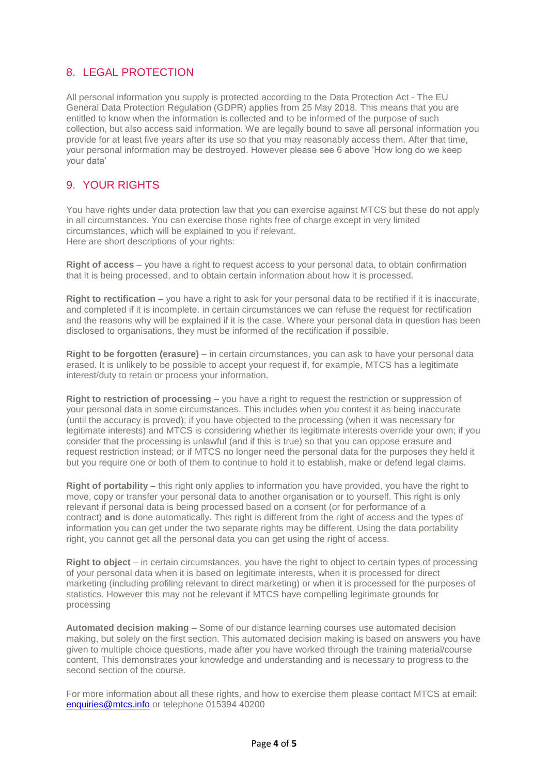# 8. LEGAL PROTECTION

All personal information you supply is protected according to the Data Protection Act - The EU General Data Protection Regulation (GDPR) applies from 25 May 2018. This means that you are entitled to know when the information is collected and to be informed of the purpose of such collection, but also access said information. We are legally bound to save all personal information you provide for at least five years after its use so that you may reasonably access them. After that time, your personal information may be destroyed. However please see 6 above 'How long do we keep your data'

# 9. YOUR RIGHTS

You have rights under data protection law that you can exercise against MTCS but these do not apply in all circumstances. You can exercise those rights free of charge except in very limited circumstances, which will be explained to you if relevant. Here are short descriptions of your rights:

**Right of access** – you have a right to request access to your personal data, to obtain confirmation that it is being processed, and to obtain certain information about how it is processed.

**Right to rectification** – you have a right to ask for your personal data to be rectified if it is inaccurate, and completed if it is incomplete. in certain circumstances we can refuse the request for rectification and the reasons why will be explained if it is the case. Where your personal data in question has been disclosed to organisations, they must be informed of the rectification if possible.

**Right to be forgotten (erasure)** – in certain circumstances, you can ask to have your personal data erased. It is unlikely to be possible to accept your request if, for example, MTCS has a legitimate interest/duty to retain or process your information.

**Right to restriction of processing** – you have a right to request the restriction or suppression of your personal data in some circumstances. This includes when you contest it as being inaccurate (until the accuracy is proved); if you have objected to the processing (when it was necessary for legitimate interests) and MTCS is considering whether its legitimate interests override your own; if you consider that the processing is unlawful (and if this is true) so that you can oppose erasure and request restriction instead; or if MTCS no longer need the personal data for the purposes they held it but you require one or both of them to continue to hold it to establish, make or defend legal claims.

**Right of portability** – this right only applies to information you have provided, you have the right to move, copy or transfer your personal data to another organisation or to yourself. This right is only relevant if personal data is being processed based on a consent (or for performance of a contract) **and** is done automatically. This right is different from the right of access and the types of information you can get under the two separate rights may be different. Using the data portability right, you cannot get all the personal data you can get using the right of access.

**Right to object** – in certain circumstances, you have the right to object to certain types of processing of your personal data when it is based on legitimate interests, when it is processed for direct marketing (including profiling relevant to direct marketing) or when it is processed for the purposes of statistics. However this may not be relevant if MTCS have compelling legitimate grounds for processing

**Automated decision making** – Some of our distance learning courses use automated decision making, but solely on the first section. This automated decision making is based on answers you have given to multiple choice questions, made after you have worked through the training material/course content. This demonstrates your knowledge and understanding and is necessary to progress to the second section of the course.

For more information about all these rights, and how to exercise them please contact MTCS at email: [enquiries@mtcs.info](mailto:enquiries@mtcs.info) or telephone 015394 40200